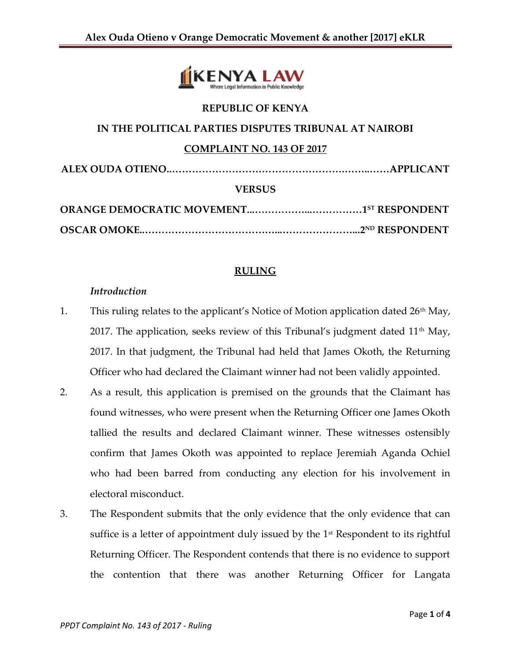

# **REPUBLIC OF KENYA**

## **IN THE POLITICAL PARTIES DISPUTES TRIBUNAL AT NAIROBI**

#### **COMPLAINT NO. 143 OF 2017**

| <b>VERSUS</b> |  |
|---------------|--|
|               |  |
|               |  |

#### **RULING**

#### *Introduction*

- 1. This ruling relates to the applicant's Notice of Motion application dated  $26<sup>th</sup>$  May, 2017. The application, seeks review of this Tribunal's judgment dated  $11<sup>th</sup>$  May, 2017. In that judgment, the Tribunal had held that James Okoth, the Returning Officer who had declared the Claimant winner had not been validly appointed.
- 2. As a result, this application is premised on the grounds that the Claimant has found witnesses, who were present when the Returning Officer one James Okoth tallied the results and declared Claimant winner. These witnesses ostensibly confirm that James Okoth was appointed to replace Jeremiah Aganda Ochiel who had been barred from conducting any election for his involvement in electoral misconduct.
- 3. The Respondent submits that the only evidence that the only evidence that can suffice is a letter of appointment duly issued by the  $1<sup>st</sup>$  Respondent to its rightful Returning Officer. The Respondent contends that there is no evidence to support the contention that there was another Returning Officer for Langata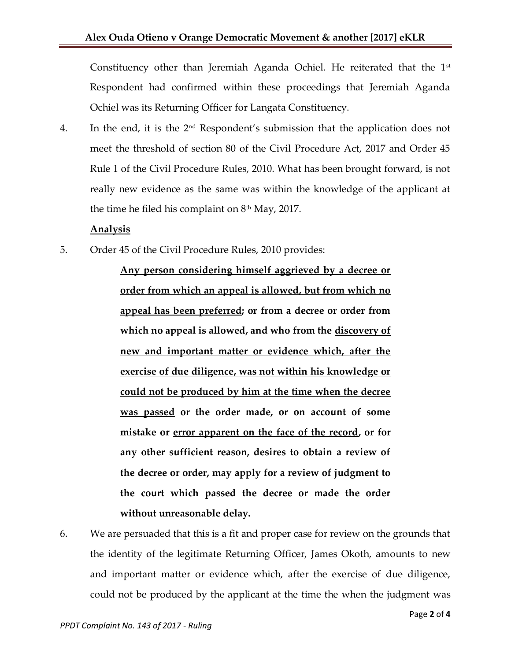Constituency other than Jeremiah Aganda Ochiel. He reiterated that the  $1<sup>st</sup>$ Respondent had confirmed within these proceedings that Jeremiah Aganda Ochiel was its Returning Officer for Langata Constituency.

4. In the end, it is the  $2<sup>nd</sup>$  Respondent's submission that the application does not meet the threshold of section 80 of the Civil Procedure Act, 2017 and Order 45 Rule 1 of the Civil Procedure Rules, 2010. What has been brought forward, is not really new evidence as the same was within the knowledge of the applicant at the time he filed his complaint on  $8<sup>th</sup>$  May, 2017.

## **Analysis**

5. Order 45 of the Civil Procedure Rules, 2010 provides:

**Any person considering himself aggrieved by a decree or order from which an appeal is allowed, but from which no appeal has been preferred; or from a decree or order from which no appeal is allowed, and who from the discovery of new and important matter or evidence which, after the exercise of due diligence, was not within his knowledge or could not be produced by him at the time when the decree was passed or the order made, or on account of some mistake or error apparent on the face of the record, or for any other sufficient reason, desires to obtain a review of the decree or order, may apply for a review of judgment to the court which passed the decree or made the order without unreasonable delay.** 

6. We are persuaded that this is a fit and proper case for review on the grounds that the identity of the legitimate Returning Officer, James Okoth, amounts to new and important matter or evidence which, after the exercise of due diligence, could not be produced by the applicant at the time the when the judgment was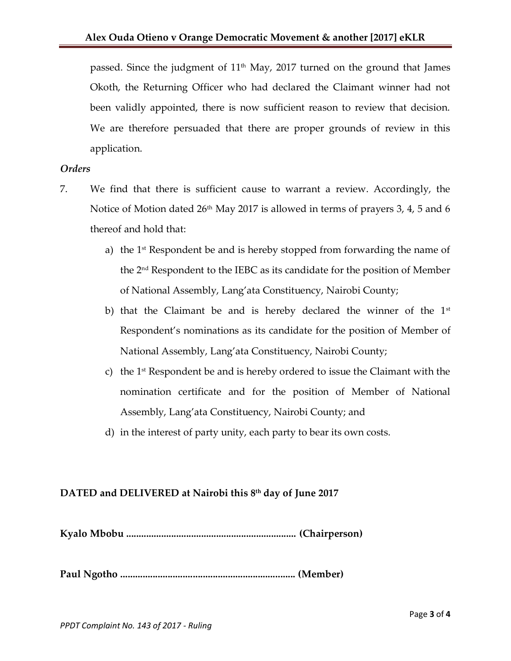passed. Since the judgment of 11<sup>th</sup> May, 2017 turned on the ground that James Okoth, the Returning Officer who had declared the Claimant winner had not been validly appointed, there is now sufficient reason to review that decision. We are therefore persuaded that there are proper grounds of review in this application.

### *Orders*

- 7. We find that there is sufficient cause to warrant a review. Accordingly, the Notice of Motion dated  $26<sup>th</sup>$  May 2017 is allowed in terms of prayers 3, 4, 5 and 6 thereof and hold that:
	- a) the  $1<sup>st</sup>$  Respondent be and is hereby stopped from forwarding the name of the 2nd Respondent to the IEBC as its candidate for the position of Member of National Assembly, Lang'ata Constituency, Nairobi County;
	- b) that the Claimant be and is hereby declared the winner of the  $1<sup>st</sup>$ Respondent's nominations as its candidate for the position of Member of National Assembly, Lang'ata Constituency, Nairobi County;
	- c) the  $1<sup>st</sup>$  Respondent be and is hereby ordered to issue the Claimant with the nomination certificate and for the position of Member of National Assembly, Lang'ata Constituency, Nairobi County; and
	- d) in the interest of party unity, each party to bear its own costs.

## **DATED and DELIVERED at Nairobi this 8 th day of June 2017**

**Kyalo Mbobu .................................................................... (Chairperson)**

**Paul Ngotho ...................................................................... (Member)**